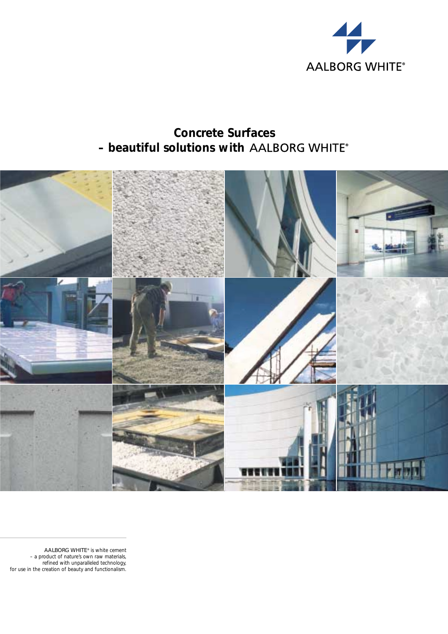

# **Concrete Surfaces – beautiful solutions with AALBORG WHITE®**



AALBORG WHITE® is white cement – a product of nature's own raw materials, refined with unparalleled technology, for use in the creation of beauty and functionalism.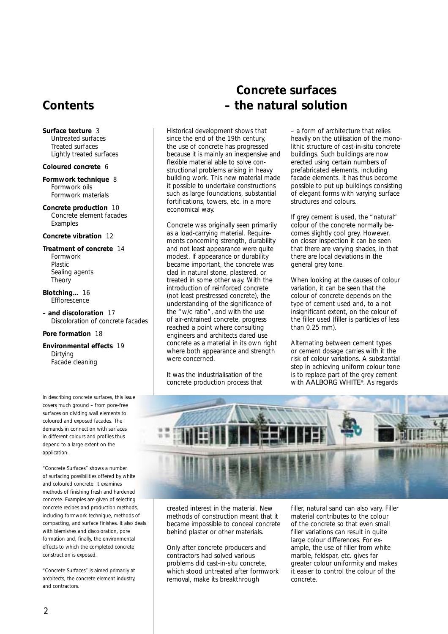# **Contents**

**Surface texture** 3 Untreated surfaces Treated surfaces Lightly treated surfaces

#### **Coloured concrete** 6

**Formwork technique** 8 Formwork oils Formwork materials

**Concrete production** 10 Concrete element facades Examples

#### **Concrete vibration** 12

**Treatment of concrete** 14 Formwork Plastic Sealing agents Theory

**Blotching...** 16 **Efflorescence** 

**– and discoloration** 17 Discoloration of concrete facades

#### **Pore formation** 18

**Environmental effects** 19 Dirtying Facade cleaning

*In describing concrete surfaces, this issue covers much ground – from pore-free surfaces on dividing wall elements to coloured and exposed facades. The demands in connection with surfaces in different colours and profiles thus depend to a large extent on the application.*

*"Concrete Surfaces" shows a number of surfacing possibilities offered by white and coloured concrete. It examines methods of finishing fresh and hardened concrete. Examples are given of selecting concrete recipes and production methods, including formwork technique, methods of compacting, and surface finishes. It also deals with blemishes and discoloration, pore formation and, finally, the environmental effects to which the completed concrete construction is exposed.*

*"Concrete Surfaces" is aimed primarily at architects, the concrete element industry, and contractors.*

# **Concrete surfaces – the natural solution**

Historical development shows that since the end of the 19th century, the use of concrete has progressed because it is mainly an inexpensive and flexible material able to solve constructional problems arising in heavy building work. This new material made it possible to undertake constructions such as large foundations, substantial fortifications, towers, etc. in a more economical way.

Concrete was originally seen primarily as a load-carrying material. Requirements concerning strength, durability and not least appearance were quite modest. If appearance or durability became important, the concrete was clad in natural stone, plastered, or treated in some other way. With the introduction of reinforced concrete (not least prestressed concrete), the understanding of the significance of the "w/c ratio", and with the use of air-entrained concrete, progress reached a point where consulting engineers and architects dared use concrete as a material in its own right where both appearance and strength were concerned.

It was the industrialisation of the concrete production process that – a form of architecture that relies heavily on the utilisation of the monolithic structure of cast-in-situ concrete buildings. Such buildings are now erected using certain numbers of prefabricated elements, including .<br>facade elements. It has thus become possible to put up buildings consisting of elegant forms with varying surface structures and colours.

If grey cement is used, the "natural" colour of the concrete normally becomes slightly cool grey. However, on closer inspection it can be seen that there are varying shades, in that there are local deviations in the general grey tone.

When looking at the causes of colour variation, it can be seen that the colour of concrete depends on the type of cement used and, to a not insignificant extent, on the colour of the filler used (filler is particles of less than 0.25 mm).

Alternating between cement types or cement dosage carries with it the risk of colour variations. A substantial step in achieving uniform colour tone is to replace part of the grey cement with AALBORG WHITE®. As regards



created interest in the material. New methods of construction meant that it became impossible to conceal concrete behind plaster or other materials.

Only after concrete producers and contractors had solved various problems did cast-in-situ concrete, which stood untreated after formwork removal, make its breakthrough

filler, natural sand can also vary. Filler material contributes to the colour of the concrete so that even small filler variations can result in quite large colour differences. For example, the use of filler from white marble, feldspar, etc. gives far greater colour uniformity and makes it easier to control the colour of the concrete.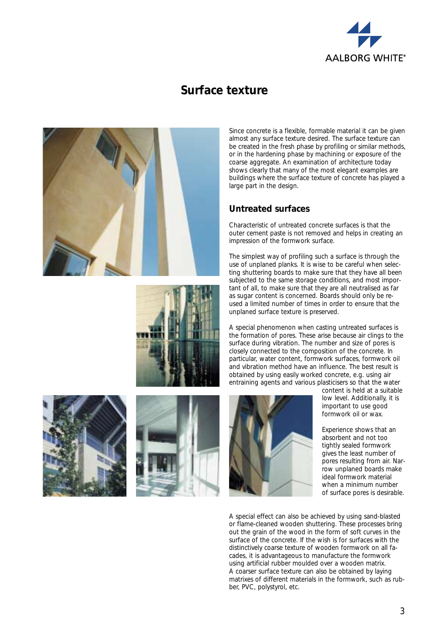

# **Surface texture**









Since concrete is a flexible, formable material it can be given almost any surface texture desired. The surface texture can be created in the fresh phase by profiling or similar methods, or in the hardening phase by machining or exposure of the coarse aggregate. An examination of architecture today shows clearly that many of the most elegant examples are buildings where the surface texture of concrete has played a large part in the design.

## **Untreated surfaces**

Characteristic of untreated concrete surfaces is that the outer cement paste is not removed and helps in creating an impression of the formwork surface.

The simplest way of profiling such a surface is through the use of unplaned planks. It is wise to be careful when selecting shuttering boards to make sure that they have all been subjected to the same storage conditions, and most important of all, to make sure that they are all neutralised as far as sugar content is concerned. Boards should only be reused a limited number of times in order to ensure that the unplaned surface texture is preserved.

A special phenomenon when casting untreated surfaces is the formation of pores. These arise because air clings to the surface during vibration. The number and size of pores is closely connected to the composition of the concrete. In particular, water content, formwork surfaces, formwork oil and vibration method have an influence. The best result is obtained by using easily worked concrete, e.g. using air entraining agents and various plasticisers so that the water



content is held at a suitable low level. Additionally, it is important to use good formwork oil or wax.

Experience shows that an absorbent and not too tightly sealed formwork gives the least number of pores resulting from air. Narrow unplaned boards make ideal formwork material when a minimum number of surface pores is desirable.

A special effect can also be achieved by using sand-blasted or flame-cleaned wooden shuttering. These processes bring out the grain of the wood in the form of soft curves in the surface of the concrete. If the wish is for surfaces with the distinctively coarse texture of wooden formwork on all facades, it is advantageous to manufacture the formwork using artificial rubber moulded over a wooden matrix. A coarser surface texture can also be obtained by laying matrixes of different materials in the formwork, such as rubber, PVC, polystyrol, etc.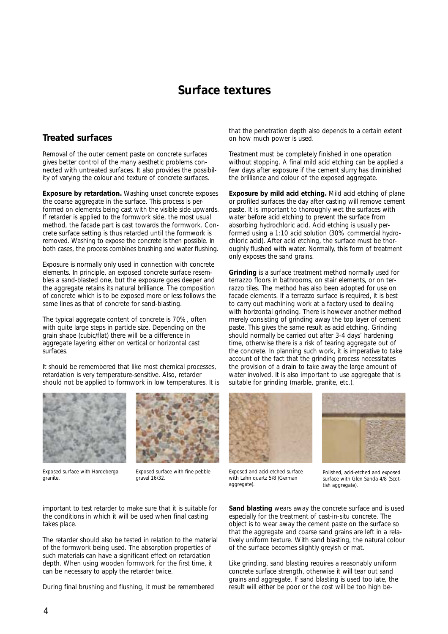## **Surface textures**

## **Treated surfaces**

Removal of the outer cement paste on concrete surfaces gives better control of the many aesthetic problems connected with untreated surfaces. It also provides the possibility of varying the colour and texture of concrete surfaces.

**Exposure by retardation.** Washing unset concrete exposes the coarse aggregate in the surface. This process is performed on elements being cast with the visible side upwards. If retarder is applied to the formwork side, the most usual method, the facade part is cast towards the formwork. Concrete surface setting is thus retarded until the formwork is removed. Washing to expose the concrete is then possible. In both cases, the process combines brushing and water flushing.

Exposure is normally only used in connection with concrete elements. In principle, an exposed concrete surface resembles a sand-blasted one, but the exposure goes deeper and the aggregate retains its natural brilliance. The composition of concrete which is to be exposed more or less follows the same lines as that of concrete for sand-blasting.

The typical aggregate content of concrete is 70%, often with quite large steps in particle size. Depending on the grain shape (cubic/flat) there will be a difference in aggregate layering either on vertical or horizontal cast surfaces.

It should be remembered that like most chemical processes, retardation is very temperature-sensitive. Also, retarder should not be applied to formwork in low temperatures. It is



*Exposed surface with Hardeberga granite.*



*Exposed surface with fine pebble gravel 16/32.*

important to test retarder to make sure that it is suitable for the conditions in which it will be used when final casting takes place.

The retarder should also be tested in relation to the material of the formwork being used. The absorption properties of such materials can have a significant effect on retardation depth. When using wooden formwork for the first time, it can be necessary to apply the retarder twice.

During final brushing and flushing, it must be remembered

that the penetration depth also depends to a certain extent on how much power is used.

Treatment must be completely finished in one operation without stopping. A final mild acid etching can be applied a few days after exposure if the cement slurry has diminished the brilliance and colour of the exposed aggregate.

**Exposure by mild acid etching.** Mild acid etching of plane or profiled surfaces the day after casting will remove cement paste. It is important to thoroughly wet the surfaces with water before acid etching to prevent the surface from absorbing hydrochloric acid. Acid etching is usually performed using a 1:10 acid solution (30% commercial hydrochloric acid). After acid etching, the surface must be thoroughly flushed with water. Normally, this form of treatment only exposes the sand grains.

**Grinding** is a surface treatment method normally used for terrazzo floors in bathrooms, on stair elements, or on terrazzo tiles. The method has also been adopted for use on facade elements. If a terrazzo surface is required, it is best to carry out machining work at a factory used to dealing with horizontal grinding. There is however another method merely consisting of grinding away the top layer of cement paste. This gives the same result as acid etching. Grinding should normally be carried out after 3-4 days' hardening time, otherwise there is a risk of tearing aggregate out of the concrete. In planning such work, it is imperative to take account of the fact that the grinding process necessitates the provision of a drain to take away the large amount of water involved. It is also important to use aggregate that is suitable for grinding (marble, granite, etc.).





*Exposed and acid-etched surface with Lahn quartz 5/8 (German aggregate).*

*Polished, acid-etched and exposed surface with Glen Sanda 4/8 (Scottish aggregate).*

**Sand blasting** wears away the concrete surface and is used especially for the treatment of cast-in-situ concrete. The object is to wear away the cement paste on the surface so that the aggregate and coarse sand grains are left in a relatively uniform texture. With sand blasting, the natural colour of the surface becomes slightly greyish or mat.

Like grinding, sand blasting requires a reasonably uniform concrete surface strength, otherwise it will tear out sand grains and aggregate. If sand blasting is used too late, the result will either be poor or the cost will be too high be-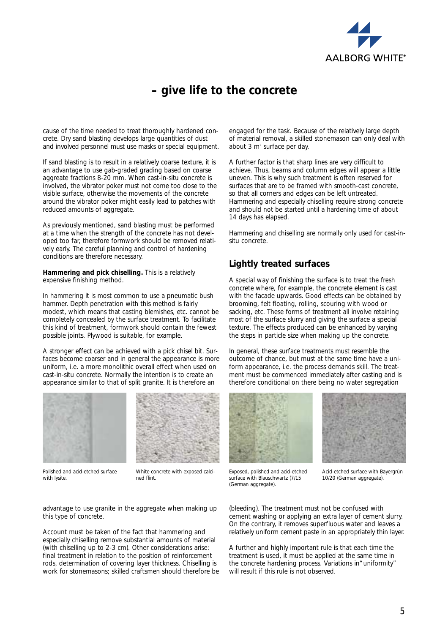

# **– give life to the concrete**

cause of the time needed to treat thoroughly hardened concrete. Dry sand blasting develops large quantities of dust and involved personnel must use masks or special equipment.

If sand blasting is to result in a relatively coarse texture, it is an advantage to use gab-graded grading based on coarse aggreate fractions 8-20 mm. When cast-in-situ concrete is involved, the vibrator poker must not come too close to the visible surface, otherwise the movements of the concrete around the vibrator poker might easily lead to patches with reduced amounts of aggregate.

As previously mentioned, sand blasting must be performed at a time when the strength of the concrete has not developed too far, therefore formwork should be removed relatively early. The careful planning and control of hardening conditions are therefore necessary.

**Hammering and pick chiselling.** This is a relatively expensive finishing method.

In hammering it is most common to use a pneumatic bush hammer. Depth penetration with this method is fairly modest, which means that casting blemishes, etc. cannot be completely concealed by the surface treatment. To facilitate this kind of treatment, formwork should contain the fewest possible joints. Plywood is suitable, for example.

A stronger effect can be achieved with a pick chisel bit. Surfaces become coarser and in general the appearance is more uniform, i.e. a more monolithic overall effect when used on cast-in-situ concrete. Normally the intention is to create an appearance similar to that of split granite. It is therefore an



*Polished and acid-etched surface with lysite.*



*White concrete with exposed calcined flint.*

engaged for the task. Because of the relatively large depth of material removal, a skilled stonemason can only deal with about 3 m<sup>2</sup> surface per day.

A further factor is that sharp lines are very difficult to achieve. Thus, beams and column edges will appear a little uneven. This is why such treatment is often reserved for surfaces that are to be framed with smooth-cast concrete, so that all corners and edges can be left untreated. Hammering and especially chiselling require strong concrete and should not be started until a hardening time of about 14 days has elapsed.

Hammering and chiselling are normally only used for cast-insitu concrete.

## **Lightly treated surfaces**

A special way of finishing the surface is to treat the fresh concrete where, for example, the concrete element is cast with the facade upwards. Good effects can be obtained by brooming, felt floating, rolling, scouring with wood or sacking, etc. These forms of treatment all involve retaining most of the surface slurry and giving the surface a special texture. The effects produced can be enhanced by varying the steps in particle size when making up the concrete.

In general, these surface treatments must resemble the outcome of chance, but must at the same time have a uniform appearance, i.e. the process demands skill. The treatment must be commenced immediately after casting and is therefore conditional on there being no water segregation





*Exposed, polished and acid-etched surface with Blauschwartz (7/15 (German aggregate).*

*Acid-etched surface with Bayergrün 10/20 (German aggregate).*

(bleeding). The treatment must not be confused with cement washing or applying an extra layer of cement slurry. On the contrary, it removes superfluous water and leaves a relatively uniform cement paste in an appropriately thin layer.

A further and highly important rule is that each time the treatment is used, it must be applied at the same time in the concrete hardening process. Variations in "uniformity" will result if this rule is not observed.

advantage to use granite in the aggregate when making up this type of concrete.

Account must be taken of the fact that hammering and especially chiselling remove substantial amounts of material (with chiselling up to 2-3 cm). Other considerations arise: final treatment in relation to the position of reinforcement rods, determination of covering layer thickness. Chiselling is work for stonemasons; skilled craftsmen should therefore be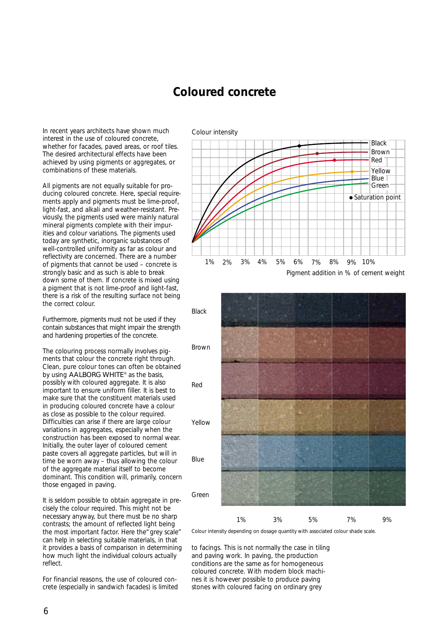## **Coloured concrete**

In recent years architects have shown much interest in the use of coloured concrete, whether for facades, paved areas, or roof tiles. The desired architectural effects have been achieved by using pigments or aggregates, or combinations of these materials.

All pigments are not equally suitable for producing coloured concrete. Here, special requirements apply and pigments must be lime-proof, light-fast, and alkali and weather-resistant. Previously, the pigments used were mainly natural mineral pigments complete with their impurities and colour variations. The pigments used today are synthetic, inorganic substances of well-controlled uniformity as far as colour and reflectivity are concerned. There are a number of pigments that cannot be used – concrete is strongly basic and as such is able to break down some of them. If concrete is mixed using a pigment that is not lime-proof and light-fast, there is a risk of the resulting surface not being the correct colour.

Furthermore, pigments must not be used if they contain substances that might impair the strength and hardening properties of the concrete.

The colouring process normally involves pigments that colour the concrete right through. Clean, pure colour tones can often be obtained by using AALBORG WHITE® as the basis, possibly with coloured aggregate. It is also important to ensure uniform filler. It is best to make sure that the constituent materials used in producing coloured concrete have a colour as close as possible to the colour required. Difficulties can arise if there are large colour variations in aggregates, especially when the construction has been exposed to normal wear. Initially, the outer layer of coloured cement paste covers all aggregate particles, but will in time be worn away – thus allowing the colour of the aggregate material itself to become dominant. This condition will, primarily, concern those engaged in paving.

It is seldom possible to obtain aggregate in precisely the colour required. This might not be necessary anyway, but there must be no sharp contrasts; the amount of reflected light being the most important factor. Here the "grey scale" can help in selecting suitable materials, in that it provides a basis of comparison in determining how much light the individual colours actually reflect.

For financial reasons, the use of coloured concrete (especially in sandwich facades) is limited





*Colour intensity depending on dosage quantity with associated colour shade scale.* 

to facings. This is not normally the case in tiling and paving work. In paving, the production conditions are the same as for homogeneous coloured concrete. With modern block machines it is however possible to produce paving stones with coloured facing on ordinary grey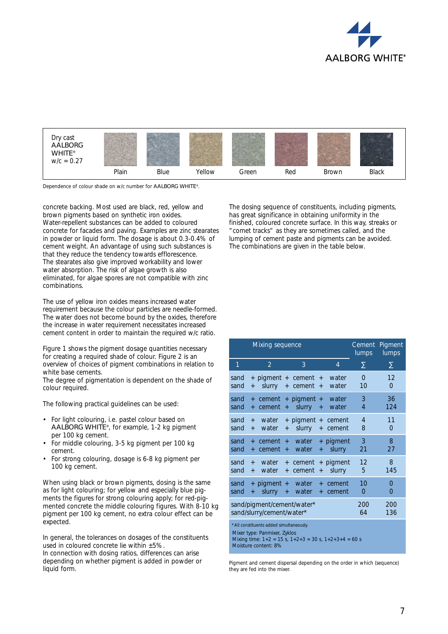



*Dependence of colour shade on w/c number for* AALBORG WHITE®*.*

concrete backing. Most used are black, red, yellow and brown pigments based on synthetic iron oxides. Water-repellent substances can be added to coloured concrete for facades and paving. Examples are zinc stearates in powder or liquid form. The dosage is about 0.3-0.4% of cement weight. An advantage of using such substances is that they reduce the tendency towards efflorescence. The stearates also give improved workability and lower water absorption. The risk of algae growth is also eliminated, for algae spores are not compatible with zinc combinations.

The use of yellow iron oxides means increased water requirement because the colour particles are needle-formed. The water does not become bound by the oxides, therefore the increase in water requirement necessitates increased cement content in order to maintain the required w/c ratio.

Figure 1 shows the pigment dosage quantities necessary for creating a required shade of colour. Figure 2 is an overview of choices of pigment combinations in relation to white base cements.

The degree of pigmentation is dependent on the shade of colour required.

The following practical guidelines can be used:

- For light colouring, i.e. pastel colour based on AALBORG WHITE®, for example, 1-2 kg pigment per 100 kg cement.
- For middle colouring, 3-5 kg pigment per 100 kg cement.
- For strong colouring, dosage is 6-8 kg pigment per 100 kg cement.

When using black or brown pigments, dosing is the same as for light colouring; for yellow and especially blue pigments the figures for strong colouring apply; for red-pigmented concrete the middle colouring figures. With 8-10 kg pigment per 100 kg cement, no extra colour effect can be expected.

In general, the tolerances on dosages of the constituents used in coloured concrete lie within  $\pm 5\%$ .

In connection with dosing ratios, differences can arise depending on whether pigment is added in powder or liquid form.

The dosing sequence of constituents, including pigments, has great significance in obtaining uniformity in the finished, coloured concrete surface. In this way, streaks or "comet tracks" as they are sometimes called, and the lumping of cement paste and pigments can be avoided. The combinations are given in the table below.

|                                                                                    |                        | Mixing sequence              | Cement<br>lumps        | Pigment<br>lumps             |                  |                     |                      |                      |  |
|------------------------------------------------------------------------------------|------------------------|------------------------------|------------------------|------------------------------|------------------|---------------------|----------------------|----------------------|--|
| 1                                                                                  | $\overline{2}$         |                              |                        | 3                            |                  | $\overline{4}$      | Σ                    | Σ                    |  |
| sand<br>sand                                                                       | $\ddot{}$              | + pigment + cement<br>slurry |                        | + cement                     | $+$<br>$+$       | water<br>water      | $\overline{0}$<br>10 | 12<br>$\overline{0}$ |  |
| sand<br>sand                                                                       | $\ddot{}$<br>$\ddot{}$ | cement                       | $\boldsymbol{+}$       | cement + pigment +<br>slurry | $\boldsymbol{+}$ | water<br>water      | 3<br>$\overline{4}$  | 36<br>124            |  |
| sand<br>sand                                                                       | $+$<br>$+$             | water<br>water               | $\overline{+}$         | + pigment + cement<br>slurry | $+$              | cement              | $\overline{4}$<br>8  | 11<br>$\overline{0}$ |  |
| sand<br>sand                                                                       | $+$<br>$+$             | cement<br>cement             | $\ddot{}$<br>$\ddot{}$ | water<br>water               | $\ddot{}$        | + pigment<br>slurry | 3<br>21              | 8<br>27              |  |
| sand<br>sand                                                                       | $+$<br>$+$             | water<br>water               | $+$<br>$\ddot{}$       | cement<br>cement             | $\overline{+}$   | + pigment<br>slurry | 12<br>5              | 8<br>145             |  |
| sand<br>sand                                                                       | $\ddot{}$              | + pigment +<br>slurry        | $\ddot{}$              | water<br>water               | $+$<br>$+$       | cement<br>cement    | 10<br>0              | 0<br>0               |  |
| sand/pigment/cement/water*<br>200<br>200<br>sand/slurry/cement/water*<br>64<br>136 |                        |                              |                        |                              |                  |                     |                      |                      |  |
| *All constituents added simultaneously.<br>Miracture, Donniver Zullee              |                        |                              |                        |                              |                  |                     |                      |                      |  |

Mixer type: Panmixer, Zyklos

Mixing time: 1+2 = 15 s, 1+2+3 = 30 s, 1+2+3+4 = 60 s Moisture content: 8%

*Pigment and cement dispersal depending on the order in which (sequence) they are fed into the mixer.*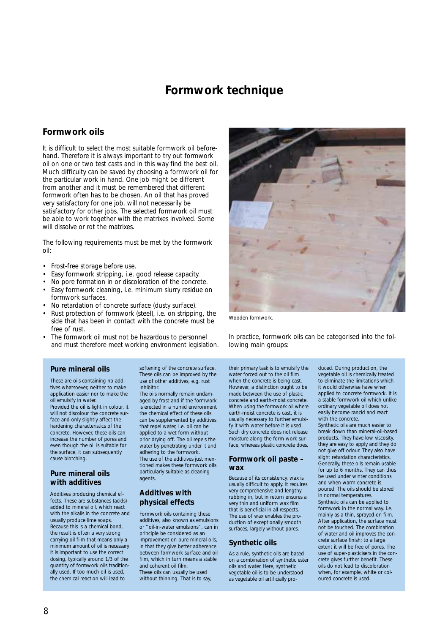## **Formwork technique**

### **Formwork oils**

It is difficult to select the most suitable formwork oil beforehand. Therefore it is always important to try out formwork oil on one or two test casts and in this way find the best oil. Much difficulty can be saved by choosing a formwork oil for the particular work in hand. One job might be different from another and it must be remembered that different formwork often has to be chosen. An oil that has proved very satisfactory for one job, will not necessarily be satisfactory for other jobs. The selected formwork oil must be able to work together with the matrixes involved. Some will dissolve or rot the matrixes.

The following requirements must be met by the formwork oil:

- Frost-free storage before use.
- Easy formwork stripping, i.e. good release capacity.
- No pore formation in or discoloration of the concrete.
- Easy formwork cleaning, i.e. minimum slurry residue on formwork surfaces.
- No retardation of concrete surface (dusty surface).
- Rust protection of formwork (steel), i.e. on stripping, the side that has been in contact with the concrete must be free of rust.
- The formwork oil must not be hazardous to personnel and must therefore meet working environment legislation.

#### **Pure mineral oils**

These are oils containing no additives whatsoever, neither to make application easier nor to make the oil emulsify in water. Provided the oil is light in colour, it will not discolour the concrete surface and only slightly affect the hardening characteristics of the concrete. However, these oils can increase the number of pores and even though the oil is suitable for the surface, it can subsequently cause blotching.

#### **Pure mineral oils with additives**

Additives producing chemical effects. These are substances (acids) added to mineral oil, which react with the alkalis in the concrete and usually produce lime soaps. Because this is a chemical bond, the result is often a very strong carrying oil film that means only a minimum amount of oil is necessary. It is important to use the correct dosing, typically around 1/3 of the quantity of formwork oils traditionally used. If too much oil is used, the chemical reaction will lead to

softening of the concrete surface. These oils can be improved by the use of other additives, e.g. rust inhibitor.

The oils normally remain undamaged by frost and if the formwork is erected in a humid environment the chemical effect of these oils can be supplemented by additives that repel water, i.e. oil can be applied to a wet form without prior drying off. The oil repels the water by penetrating under it and adhering to the formwork. The use of the additives just mentioned makes these formwork oils particularly suitable as cleaning .<br>agents

#### **Additives with physical effects**

Formwork oils containing these additives, also known as emulsions or "oil-in-water emulsions", can in principle be considered as an improvement on pure mineral oils, in that they give better adherence between formwork surface and oil film, which in turn means a stable and coherent oil film. These oils can usually be used without thinning. That is to say,



*Wooden formwork.*

In practice, formwork oils can be categorised into the following main groups:

their primary task is to emulsify the water forced out to the oil film when the concrete is being cast. However, a distinction ought to be made between the use of plastic concrete and earth-moist concrete. When using the formwork oil where earth-moist concrete is cast, it is usually necessary to further emulsify it with water before it is used. Such dry concrete does not release moisture along the form-work surface, whereas plastic concrete does.

#### **Formwork oil paste – wax**

Because of its consistency, wax is usually difficult to apply. It requires very comprehensive and lengthy rubbing in, but in return ensures a very thin and uniform wax film that is beneficial in all respects. The use of wax enables the production of exceptionally smooth surfaces, largely without pores.

#### **Synthetic oils**

As a rule, synthetic oils are based on a combination of synthetic ester oils and water. Here, synthetic vegetable oil is to be understood as vegetable oil artificially produced. During production, the vegetable oil is chemically treated to eliminate the limitations which it would otherwise have when applied to concrete formwork. It is a stable formwork oil which unlike ordinary vegetable oil does not easily become rancid and react with the concrete.

Synthetic oils are much easier to break down than mineral-oil-based products. They have low viscosity, they are easy to apply and they do not give off odour. They also have slight retardation characteristics. Generally, these oils remain usable for up to 6 months. They can thus be used under winter conditions and when warm concrete is poured. The oils should be stored in normal temperatures. Synthetic oils can be applied to formwork in the normal way. i.e. mainly as a thin, sprayed-on film. After application, the surface must not be touched. The combination of water and oil improves the concrete surface finish; to a large extent it will be free of pores. The use of super-plasticisers in the concrete gives further benefit. These oils do not lead to discoloration when, for example, white or coloured concrete is used.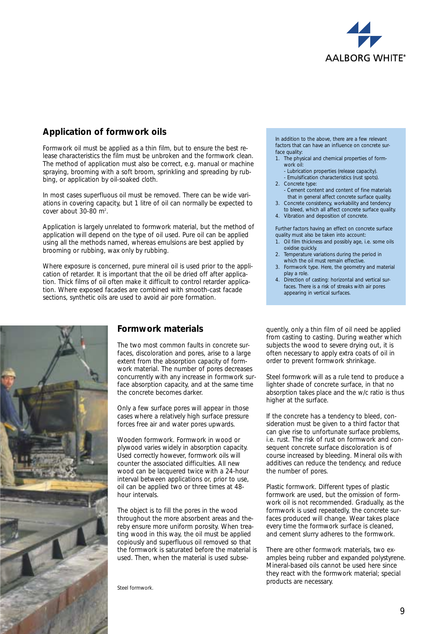

## **Application of formwork oils**

Formwork oil must be applied as a thin film, but to ensure the best release characteristics the film must be unbroken and the formwork clean. The method of application must also be correct, e.g. manual or machine spraying, brooming with a soft broom, sprinkling and spreading by rubbing, or application by oil-soaked cloth.

In most cases superfluous oil must be removed. There can be wide variations in covering capacity, but 1 litre of oil can normally be expected to cover about  $30-80$  m<sup>2</sup>.

Application is largely unrelated to formwork material, but the method of application will depend on the type of oil used. Pure oil can be applied using all the methods named, whereas emulsions are best applied by brooming or rubbing, wax only by rubbing.

Where exposure is concerned, pure mineral oil is used prior to the application of retarder. It is important that the oil be dried off after application. Thick films of oil often make it difficult to control retarder application. Where exposed facades are combined with smooth-cast facade sections, synthetic oils are used to avoid air pore formation.



## **Formwork materials**

The two most common faults in concrete surfaces, discoloration and pores, arise to a large extent from the absorption capacity of formwork material. The number of pores decreases concurrently with any increase in formwork surface absorption capacity, and at the same time the concrete becomes darker.

Only a few surface pores will appear in those cases where a relatively high surface pressure forces free air and water pores upwards.

Wooden formwork. Formwork in wood or plywood varies widely in absorption capacity. Used correctly however, formwork oils will counter the associated difficulties. All new wood can be lacquered twice with a 24-hour interval between applications or, prior to use, oil can be applied two or three times at 48 hour intervals.

The object is to fill the pores in the wood throughout the more absorbent areas and thereby ensure more uniform porosity. When treating wood in this way, the oil must be applied copiously and superfluous oil removed so that the formwork is saturated before the material is used. Then, when the material is used subse-

*Steel formwork.*

In addition to the above, there are a few relevant factors that can have an influence on concrete surface quality:

- 1. The physical and chemical properties of formwork oil:
- Lubrication properties (release capacity).
- Emulsification characteristics (rust spots).
- 2. Concrete type: Cement content and content of fine materials that in general affect concrete surface quality.
- 3. Concrete consistency, workability and tendency to bleed, which all affect concrete surface quality.
- 4. Vibration and deposition of concrete.

Further factors having an effect on concrete surface quality must also be taken into account:

- 1. Oil film thickness and possibly age, i.e. some oils oxidise quickly.
- 2. Temperature variations during the period in which the oil must remain effective.
- 3. Formwork type. Here, the geometry and material play a role.
- 4. Direction of casting: horizontal and vertical surfaces. There is a risk of streaks with air pores appearing in vertical surfaces.

quently, only a thin film of oil need be applied from casting to casting. During weather which subjects the wood to severe drying out, it is often necessary to apply extra coats of oil in order to prevent formwork shrinkage.

Steel formwork will as a rule tend to produce a lighter shade of concrete surface, in that no absorption takes place and the w/c ratio is thus higher at the surface.

If the concrete has a tendency to bleed, consideration must be given to a third factor that can give rise to unfortunate surface problems, i.e. rust. The risk of rust on formwork and consequent concrete surface discoloration is of course increased by bleeding. Mineral oils with additives can reduce the tendency, and reduce the number of pores.

Plastic formwork. Different types of plastic formwork are used, but the omission of formwork oil is not recommended. Gradually, as the formwork is used repeatedly, the concrete surfaces produced will change. Wear takes place every time the formwork surface is cleaned, and cement slurry adheres to the formwork.

There are other formwork materials, two examples being rubber and expanded polystyrene. Mineral-based oils cannot be used here since they react with the formwork material; special products are necessary.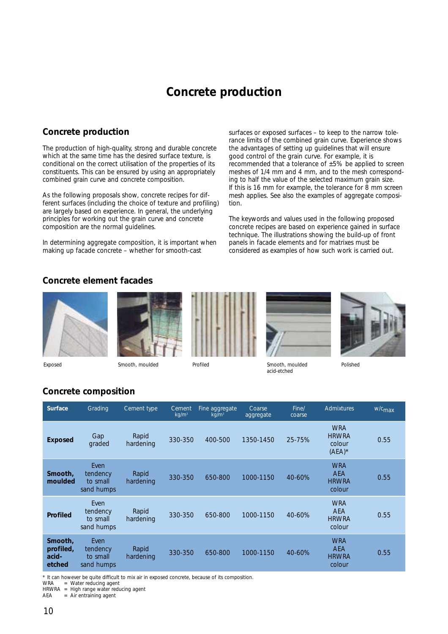# **Concrete production**

## **Concrete production**

The production of high-quality, strong and durable concrete which at the same time has the desired surface texture, is conditional on the correct utilisation of the properties of its constituents. This can be ensured by using an appropriately combined grain curve and concrete composition.

As the following proposals show, concrete recipes for different surfaces (including the choice of texture and profiling) are largely based on experience. In general, the underlying principles for working out the grain curve and concrete composition are the normal guidelines.

In determining aggregate composition, it is important when making up facade concrete – whether for smooth-cast

surfaces or exposed surfaces – to keep to the narrow tolerance limits of the combined grain curve. Experience shows the advantages of setting up guidelines that will ensure good control of the grain curve. For example, it is recommended that a tolerance of  $\pm 5\%$  be applied to screen meshes of 1/4 mm and 4 mm, and to the mesh corresponding to half the value of the selected maximum grain size. If this is 16 mm for example, the tolerance for 8 mm screen mesh applies. See also the examples of aggregate composition.

The keywords and values used in the following proposed concrete recipes are based on experience gained in surface technique. The illustrations showing the build-up of front panels in facade elements and for matrixes must be considered as examples of how such work is carried out.

### **Concrete element facades**













*Polished*

## **Concrete composition**

| <b>Surface</b>                          | Grading                                    | Cement type        | Cement<br>kg/m <sup>3</sup> | Fine aggregate<br>kg/m <sup>3</sup> | Coarse<br>aggregate | Fine/<br>coarse | Admixtures                                         | w/c <sub>max</sub> |
|-----------------------------------------|--------------------------------------------|--------------------|-----------------------------|-------------------------------------|---------------------|-----------------|----------------------------------------------------|--------------------|
| <b>Exposed</b>                          | Gap<br>graded                              | Rapid<br>hardening | 330-350                     | 400-500                             | 1350-1450           | 25-75%          | <b>WRA</b><br><b>HRWRA</b><br>colour<br>$(AEA)^*$  | 0.55               |
| Smooth,<br>moulded                      | Even<br>tendency<br>to small<br>sand humps | Rapid<br>hardening | 330-350                     | 650-800                             | 1000-1150           | 40-60%          | <b>WRA</b><br><b>AEA</b><br><b>HRWRA</b><br>colour | 0.55               |
| <b>Profiled</b>                         | Even<br>tendency<br>to small<br>sand humps | Rapid<br>hardening | 330-350                     | 650-800                             | 1000-1150           | 40-60%          | <b>WRA</b><br><b>AEA</b><br><b>HRWRA</b><br>colour | 0.55               |
| Smooth,<br>profiled,<br>acid-<br>etched | Even<br>tendency<br>to small<br>sand humps | Rapid<br>hardening | 330-350                     | 650-800                             | 1000-1150           | 40-60%          | <b>WRA</b><br><b>AEA</b><br><b>HRWRA</b><br>colour | 0.55               |

\* It can however be quite difficult to mix air in exposed concrete, because of its composition.

 $=$  Water reducing agent

HRWRA = High range water reducing agent<br>AEA = Air entraining agent

= Air entraining agent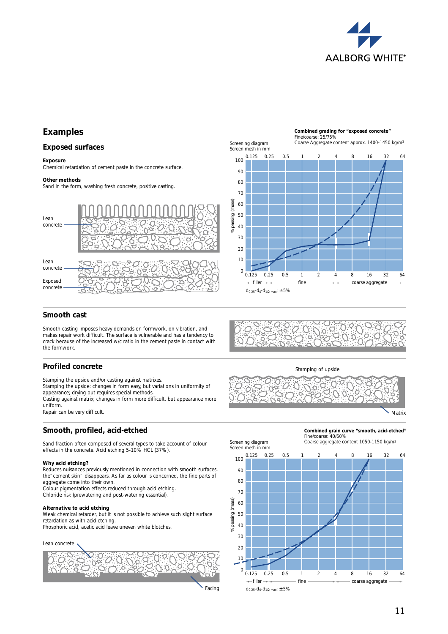

## **Examples**

#### **Exposed surfaces**

#### **Exposure**

Chemical retardation of cement paste in the concrete surface.

#### **Other methods**

Sand in the form, washing fresh concrete, positive casting.



#### Screening diagram Screen mesh in mm 0.125 0.25 0.5 1 2 4 8 16 32 64 100 90 80 20  $30$ 40 50 60 70 Coarse Aggregate content approx. 1400-1450 kg/m3

Fine/coarse: 25/75%

**Combined grading for "exposed concrete"**

0.125 0.25 0.5 1 2 4 8 16 32 64

filler fine coarse aggregate

 $d_{0,25}$ - $d_{4}$ - $d_{1/2}$  max:  $\pm$  5%

10

 $\Omega$ 

Screening diagram

#### **Smooth cast**

Smooth casting imposes heavy demands on formwork, on vibration, and makes repair work difficult. The surface is vulnerable and has a tendency to crack because of the increased w/c ratio in the cement paste in contact with the formwork.

#### **Profiled concrete**

Stamping the upside and/or casting against matrixes.

Stamping the upside: changes in form easy, but variations in uniformity of appearance; drying out requires special methods.

Casting against matrix; changes in form more difficult, but appearance more uniform.

Repair can be very difficult.

#### **Smooth, profiled, acid-etched**

Sand fraction often composed of several types to take account of colour effects in the concrete. Acid etching 5-10% HCL (37%).

#### **Why acid etching?**

Reduces nuisances previously mentioned in connection with smooth surfaces, the"cement skin" disappears. As far as colour is concerned, the fine parts of aggregate come into their own.

Colour pigmentation effects reduced through acid etching. Chloride risk (prewatering and post-watering essential).

#### **Alternative to acid etching**

Weak chemical retarder, but it is not possible to achieve such slight surface retardation as with acid etching.

Phosphoric acid, acetic acid leave uneven white blotches.

Lean concrete









Matrix







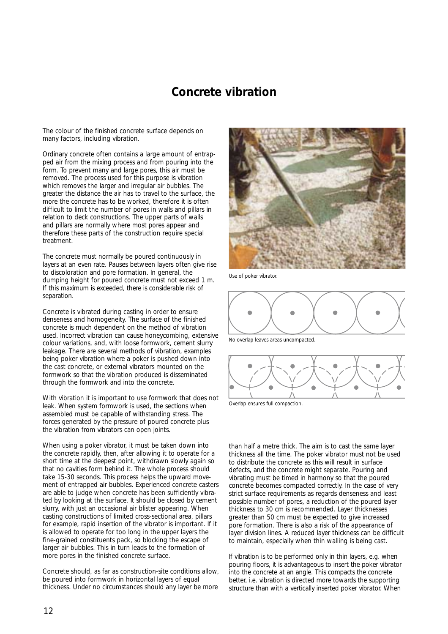## **Concrete vibration**

The colour of the finished concrete surface depends on many factors, including vibration.

Ordinary concrete often contains a large amount of entrapped air from the mixing process and from pouring into the form. To prevent many and large pores, this air must be removed. The process used for this purpose is vibration which removes the larger and irregular air bubbles. The greater the distance the air has to travel to the surface, the more the concrete has to be worked, therefore it is often difficult to limit the number of pores in walls and pillars in relation to deck constructions. The upper parts of walls and pillars are normally where most pores appear and therefore these parts of the construction require special treatment.

The concrete must normally be poured continuously in layers at an even rate. Pauses between layers often give rise to discoloration and pore formation. In general, the dumping height for poured concrete must not exceed 1 m. If this maximum is exceeded, there is considerable risk of separation.

Concrete is vibrated during casting in order to ensure denseness and homogeneity. The surface of the finished concrete is much dependent on the method of vibration used. Incorrect vibration can cause honeycombing, extensive colour variations, and, with loose formwork, cement slurry leakage. There are several methods of vibration, examples being poker vibration where a poker is pushed down into the cast concrete, or external vibrators mounted on the formwork so that the vibration produced is disseminated through the formwork and into the concrete.

With vibration it is important to use formwork that does not leak. When system formwork is used, the sections when assembled must be capable of withstanding stress. The forces generated by the pressure of poured concrete plus the vibration from vibrators can open joints.

When using a poker vibrator, it must be taken down into the concrete rapidly, then, after allowing it to operate for a short time at the deepest point, withdrawn slowly again so that no cavities form behind it. The whole process should take 15-30 seconds. This process helps the upward movement of entrapped air bubbles. Experienced concrete casters are able to judge when concrete has been sufficiently vibrated by looking at the surface. It should be closed by cement slurry, with just an occasional air blister appearing. When casting constructions of limited cross-sectional area, pillars for example, rapid insertion of the vibrator is important. If it is allowed to operate for too long in the upper layers the fine-grained constituents pack, so blocking the escape of larger air bubbles. This in turn leads to the formation of more pores in the finished concrete surface.

Concrete should, as far as construction-site conditions allow, be poured into formwork in horizontal layers of equal thickness. Under no circumstances should any layer be more



*Use of poker vibrator.*



*No overlap leaves areas uncompacted.*



*Overlap ensures full compaction.*

than half a metre thick. The aim is to cast the same layer thickness all the time. The poker vibrator must not be used to distribute the concrete as this will result in surface defects, and the concrete might separate. Pouring and vibrating must be timed in harmony so that the poured concrete becomes compacted correctly. In the case of very strict surface requirements as regards denseness and least possible number of pores, a reduction of the poured layer thickness to 30 cm is recommended. Layer thicknesses greater than 50 cm must be expected to give increased pore formation. There is also a risk of the appearance of layer division lines. A reduced layer thickness can be difficult to maintain, especially when thin walling is being cast.

If vibration is to be performed only in thin layers, e.g. when pouring floors, it is advantageous to insert the poker vibrator into the concrete at an angle. This compacts the concrete better, i.e. vibration is directed more towards the supporting structure than with a vertically inserted poker vibrator. When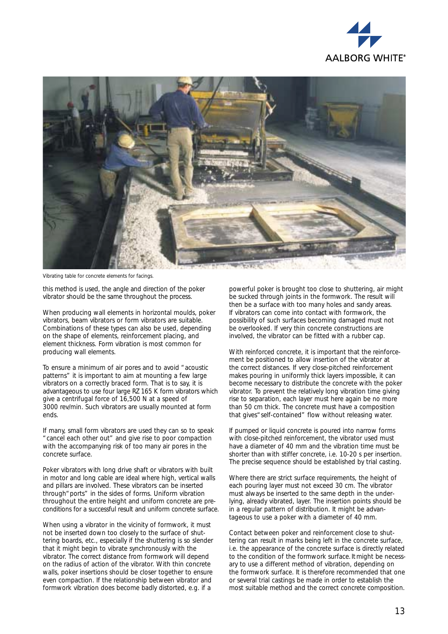



*Vibrating table for concrete elements for facings.*

this method is used, the angle and direction of the poker vibrator should be the same throughout the process.

When producing wall elements in horizontal moulds, poker vibrators, beam vibrators or form vibrators are suitable. Combinations of these types can also be used, depending on the shape of elements, reinforcement placing, and element thickness. Form vibration is most common for producing wall elements.

To ensure a minimum of air pores and to avoid "acoustic patterns" it is important to aim at mounting a few large vibrators on a correctly braced form. That is to say, it is advantageous to use four large RZ 165 K form vibrators which give a centrifugal force of 16,500 N at a speed of 3000 rev/min. Such vibrators are usually mounted at form ends.

If many, small form vibrators are used they can so to speak "cancel each other out" and give rise to poor compaction with the accompanying risk of too many air pores in the concrete surface.

Poker vibrators with long drive shaft or vibrators with built in motor and long cable are ideal where high, vertical walls and pillars are involved. These vibrators can be inserted through"ports" in the sides of forms. Uniform vibration throughout the entire height and uniform concrete are preconditions for a successful result and uniform concrete surface.

When using a vibrator in the vicinity of formwork, it must not be inserted down too closely to the surface of shuttering boards, etc., especially if the shuttering is so slender that it might begin to vibrate synchronously with the vibrator. The correct distance from formwork will depend on the radius of action of the vibrator. With thin concrete walls, poker insertions should be closer together to ensure even compaction. If the relationship between vibrator and formwork vibration does become badly distorted, e.g. if a

powerful poker is brought too close to shuttering, air might be sucked through joints in the formwork. The result will then be a surface with too many holes and sandy areas. If vibrators can come into contact with formwork, the possibility of such surfaces becoming damaged must not be overlooked. If very thin concrete constructions are involved, the vibrator can be fitted with a rubber cap.

With reinforced concrete, it is important that the reinforcement be positioned to allow insertion of the vibrator at the correct distances. If very close-pitched reinforcement makes pouring in uniformly thick layers impossible, it can become necessary to distribute the concrete with the poker vibrator. To prevent the relatively long vibration time giving rise to separation, each layer must here again be no more than 50 cm thick. The concrete must have a composition that gives" self-contained" flow without releasing water.

If pumped or liquid concrete is poured into narrow forms with close-pitched reinforcement, the vibrator used must have a diameter of 40 mm and the vibration time must be shorter than with stiffer concrete, i.e. 10-20 s per insertion. The precise sequence should be established by trial casting.

Where there are strict surface requirements, the height of each pouring layer must not exceed 30 cm. The vibrator must always be inserted to the same depth in the underlying, already vibrated, layer. The insertion points should be in a regular pattern of distribution. It might be advantageous to use a poker with a diameter of 40 mm.

Contact between poker and reinforcement close to shuttering can result in marks being left in the concrete surface, i.e. the appearance of the concrete surface is directly related to the condition of the formwork surface.It might be necessary to use a different method of vibration, depending on the formwork surface. It is therefore recommended that one or several trial castings be made in order to establish the most suitable method and the correct concrete composition.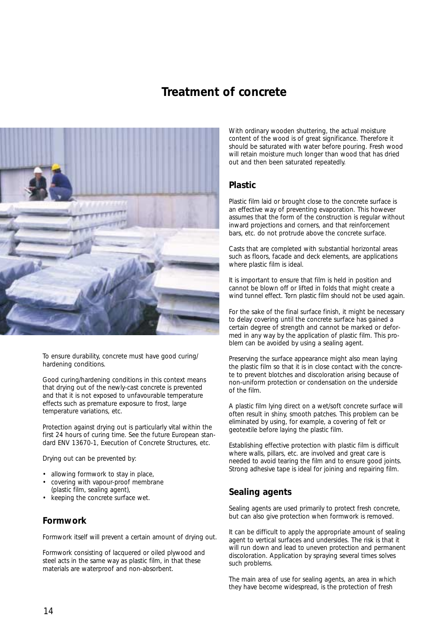## **Treatment of concrete**



To ensure durability, concrete must have good curing/ hardening conditions.

Good curing/hardening conditions in this context means that drying out of the newly-cast concrete is prevented and that it is not exposed to unfavourable temperature effects such as premature exposure to frost, large temperature variations, etc.

Protection against drying out is particularly vital within the first 24 hours of curing time. See the future European standard ENV 13670-1, Execution of Concrete Structures, etc.

Drying out can be prevented by:

- allowing formwork to stay in place,
- covering with vapour-proof membrane (plastic film, sealing agent),
- keeping the concrete surface wet.

## **Formwork**

Formwork itself will prevent a certain amount of drying out.

Formwork consisting of lacquered or oiled plywood and steel acts in the same way as plastic film, in that these materials are waterproof and non-absorbent.

With ordinary wooden shuttering, the actual moisture content of the wood is of great significance. Therefore it should be saturated with water before pouring. Fresh wood will retain moisture much longer than wood that has dried out and then been saturated repeatedly.

### **Plastic**

Plastic film laid or brought close to the concrete surface is an effective way of preventing evaporation. This however assumes that the form of the construction is regular without inward projections and corners, and that reinforcement bars, etc. do not protrude above the concrete surface.

Casts that are completed with substantial horizontal areas such as floors, facade and deck elements, are applications where plastic film is ideal.

It is important to ensure that film is held in position and cannot be blown off or lifted in folds that might create a wind tunnel effect. Torn plastic film should not be used again.

For the sake of the final surface finish, it might be necessary to delay covering until the concrete surface has gained a certain degree of strength and cannot be marked or deformed in any way by the application of plastic film. This problem can be avoided by using a sealing agent.

Preserving the surface appearance might also mean laying the plastic film so that it is in close contact with the concrete to prevent blotches and discoloration arising because of non-uniform protection or condensation on the underside of the film.

A plastic film lying direct on a wet/soft concrete surface will often result in shiny, smooth patches. This problem can be eliminated by using, for example, a covering of felt or geotextile before laying the plastic film.

Establishing effective protection with plastic film is difficult where walls, pillars, etc. are involved and great care is needed to avoid tearing the film and to ensure good joints. Strong adhesive tape is ideal for joining and repairing film.

## **Sealing agents**

Sealing agents are used primarily to protect fresh concrete, but can also give protection when formwork is removed.

It can be difficult to apply the appropriate amount of sealing agent to vertical surfaces and undersides. The risk is that it will run down and lead to uneven protection and permanent discoloration. Application by spraying several times solves such problems.

The main area of use for sealing agents, an area in which they have become widespread, is the protection of fresh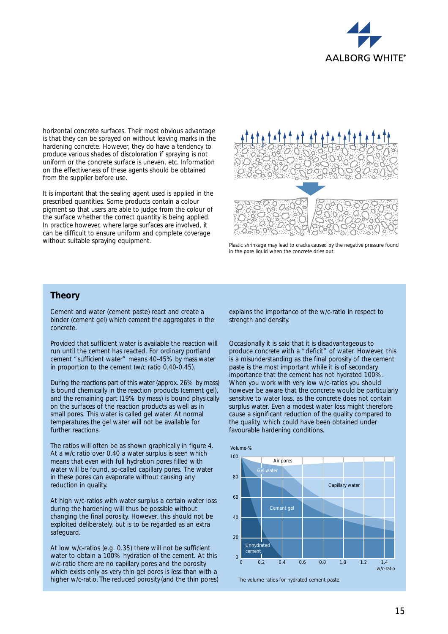

horizontal concrete surfaces. Their most obvious advantage is that they can be sprayed on without leaving marks in the hardening concrete. However, they do have a tendency to produce various shades of discoloration if spraying is not uniform or the concrete surface is uneven, etc. Information on the effectiveness of these agents should be obtained from the supplier before use.

It is important that the sealing agent used is applied in the prescribed quantities. Some products contain a colour pigment so that users are able to judge from the colour of the surface whether the correct quantity is being applied. In practice however, where large surfaces are involved, it can be difficult to ensure uniform and complete coverage without suitable spraying equipment.



*Plastic shrinkage may lead to cracks caused by the negative pressure found in the pore liquid when the concrete dries out.*

### **Theory**

Cement and water (cement paste) react and create a binder (cement gel) which cement the aggregates in the concrete.

Provided that sufficient water is available the reaction will run until the cement has reacted. For ordinary portland cement "sufficient water" means 40-45% by mass water in proportion to the cement (w/c ratio 0.40-0.45).

During the reactions part of this water (approx. 26% by mass) is bound chemically in the reaction products (cement gel), and the remaining part (19% by mass) is bound physically on the surfaces of the reaction products as well as in small pores. This water is called gel water. At normal temperatures the gel water will not be available for further reactions.

The ratios will often be as shown graphically in figure 4. At a w/c ratio over 0.40 a water surplus is seen which means that even with full hydration pores filled with water will be found, so-called capillary pores. The water in these pores can evaporate without causing any reduction in quality.

At high w/c-ratios with water surplus a certain water loss during the hardening will thus be possible without changing the final porosity. However, this should not be exploited deliberately, but is to be regarded as an extra safeguard.

At low w/c-ratios (e.g. 0.35) there will not be sufficient water to obtain a 100% hydration of the cement. At this w/c-ratio there are no capillary pores and the porosity which exists only as very thin gel pores is less than with a higher w/c-ratio. The reduced porosity (and the thin pores) explains the importance of the w/c-ratio in respect to strength and density.

Occasionally it is said that it is disadvantageous to produce concrete with a "deficit" of water. However, this is a misunderstanding as the final porosity of the cement paste is the most important while it is of secondary importance that the cement has not hydrated 100%. When you work with very low w/c-ratios you should however be aware that the concrete would be particularly sensitive to water loss, as the concrete does not contain surplus water. Even a modest water loss might therefore cause a significant reduction of the quality compared to the quality, which could have been obtained under favourable hardening conditions.

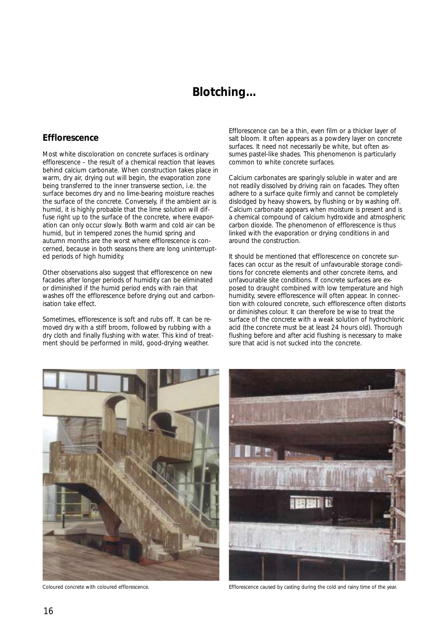## **Blotching...**

### **Efflorescence**

Most white discoloration on concrete surfaces is ordinary efflorescence – the result of a chemical reaction that leaves behind calcium carbonate. When construction takes place in warm, dry air, drying out will begin, the evaporation zone being transferred to the inner transverse section, i.e. the surface becomes dry and no lime-bearing moisture reaches the surface of the concrete. Conversely, if the ambient air is humid, it is highly probable that the lime solution will diffuse right up to the surface of the concrete, where evaporation can only occur slowly. Both warm and cold air can be humid, but in tempered zones the humid spring and autumn months are the worst where efflorescence is concerned, because in both seasons there are long uninterrupted periods of high humidity.

Other observations also suggest that efflorescence on new facades after longer periods of humidity can be eliminated or diminished if the humid period ends with rain that washes off the efflorescence before drying out and carbonisation take effect.

Sometimes, efflorescence is soft and rubs off. It can be removed dry with a stiff broom, followed by rubbing with a dry cloth and finally flushing with water. This kind of treatment should be performed in mild, good-drying weather.

Efflorescence can be a thin, even film or a thicker layer of salt bloom. It often appears as a powdery layer on concrete surfaces. It need not necessarily be white, but often assumes pastel-like shades. This phenomenon is particularly common to white concrete surfaces.

Calcium carbonates are sparingly soluble in water and are not readily dissolved by driving rain on facades. They often adhere to a surface quite firmly and cannot be completely dislodged by heavy showers, by flushing or by washing off. Calcium carbonate appears when moisture is present and is a chemical compound of calcium hydroxide and atmospheric carbon dioxide. The phenomenon of efflorescence is thus linked with the evaporation or drying conditions in and around the construction.

It should be mentioned that efflorescence on concrete surfaces can occur as the result of unfavourable storage conditions for concrete elements and other concrete items, and unfavourable site conditions. If concrete surfaces are exposed to draught combined with low temperature and high humidity, severe efflorescence will often appear. In connection with coloured concrete, such efflorescence often distorts or diminishes colour. It can therefore be wise to treat the surface of the concrete with a weak solution of hydrochloric acid (the concrete must be at least 24 hours old). Thorough flushing before and after acid flushing is necessary to make sure that acid is not sucked into the concrete.





*Coloured concrete with coloured efflorescence. Efflorescence caused by casting during the cold and rainy time of the year.*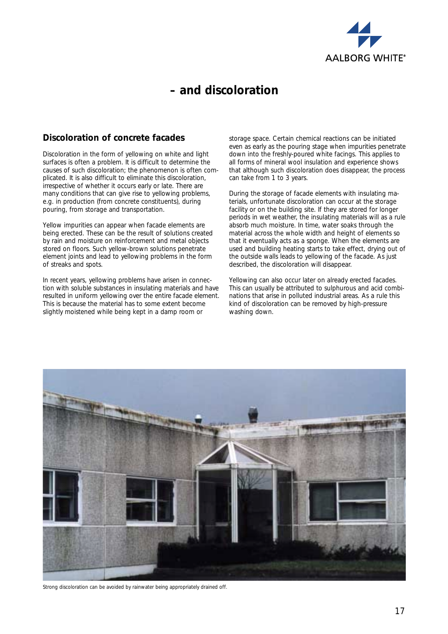

# **– and discoloration**

## **Discoloration of concrete facades**

Discoloration in the form of yellowing on white and light surfaces is often a problem. It is difficult to determine the causes of such discoloration; the phenomenon is often complicated. It is also difficult to eliminate this discoloration, irrespective of whether it occurs early or late. There are many conditions that can give rise to yellowing problems, e.g. in production (from concrete constituents), during pouring, from storage and transportation.

Yellow impurities can appear when facade elements are being erected. These can be the result of solutions created by rain and moisture on reinforcement and metal objects stored on floors. Such yellow-brown solutions penetrate element joints and lead to yellowing problems in the form of streaks and spots.

In recent years, yellowing problems have arisen in connection with soluble substances in insulating materials and have resulted in uniform yellowing over the entire facade element. This is because the material has to some extent become slightly moistened while being kept in a damp room or

storage space. Certain chemical reactions can be initiated even as early as the pouring stage when impurities penetrate down into the freshly-poured white facings. This applies to all forms of mineral wool insulation and experience shows that although such discoloration does disappear, the process can take from 1 to 3 years.

During the storage of facade elements with insulating materials, unfortunate discoloration can occur at the storage facility or on the building site. If they are stored for longer periods in wet weather, the insulating materials will as a rule absorb much moisture. In time, water soaks through the material across the whole width and height of elements so that it eventually acts as a sponge. When the elements are used and building heating starts to take effect, drying out of the outside walls leads to yellowing of the facade. As just described, the discoloration will disappear.

Yellowing can also occur later on already erected facades. This can usually be attributed to sulphurous and acid combinations that arise in polluted industrial areas. As a rule this kind of discoloration can be removed by high-pressure washing down.



*Strong discoloration can be avoided by rainwater being appropriately drained off.*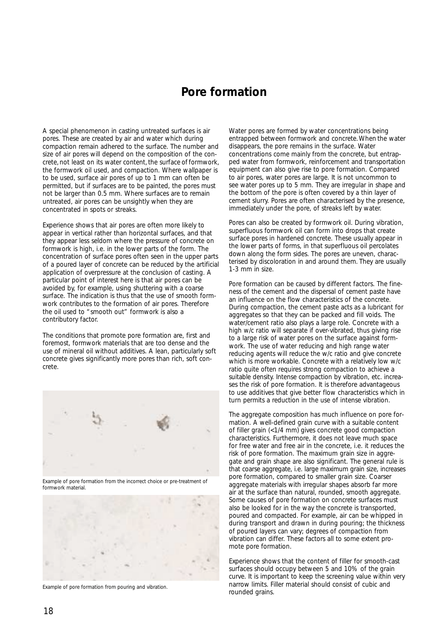## **Pore formation**

A special phenomenon in casting untreated surfaces is air pores. These are created by air and water which during compaction remain adhered to the surface. The number and size of air pores will depend on the composition of the concrete, not least on its water content, the surface of formwork, the formwork oil used, and compaction. Where wallpaper is to be used, surface air pores of up to 1 mm can often be permitted, but if surfaces are to be painted, the pores must not be larger than 0.5 mm. Where surfaces are to remain untreated, air pores can be unsightly when they are concentrated in spots or streaks.

Experience shows that air pores are often more likely to appear in vertical rather than horizontal surfaces, and that they appear less seldom where the pressure of concrete on formwork is high, i.e. in the lower parts of the form. The concentration of surface pores often seen in the upper parts of a poured layer of concrete can be reduced by the artificial application of overpressure at the conclusion of casting. A particular point of interest here is that air pores can be avoided by, for example, using shuttering with a coarse surface. The indication is thus that the use of smooth formwork contributes to the formation of air pores. Therefore the oil used to "smooth out" formwork is also a contributory factor.

The conditions that promote pore formation are, first and foremost, formwork materials that are too dense and the use of mineral oil without additives. A lean, particularly soft concrete gives significantly more pores than rich, soft concrete.



*Example of pore formation from the incorrect choice or pre-treatment of formwork material.*



*Example of pore formation from pouring and vibration.*

Water pores are formed by water concentrations being entrapped between formwork and concrete.When the water disappears, the pore remains in the surface. Water concentrations come mainly from the concrete, but entrapped water from formwork, reinforcement and transportation equipment can also give rise to pore formation. Compared to air pores, water pores are large. It is not uncommon to see water pores up to 5 mm. They are irregular in shape and the bottom of the pore is often covered by a thin layer of cement slurry. Pores are often characterised by the presence, immediately under the pore, of streaks left by water.

Pores can also be created by formwork oil. During vibration, superfluous formwork oil can form into drops that create surface pores in hardened concrete. These usually appear in the lower parts of forms, in that superfluous oil percolates down along the form sides. The pores are uneven, characterised by discoloration in and around them. They are usually  $1-3$  mm in size.

Pore formation can be caused by different factors. The fineness of the cement and the dispersal of cement paste have an influence on the flow characteristics of the concrete. During compaction, the cement paste acts as a lubricant for aggregates so that they can be packed and fill voids. The water/cement ratio also plays a large role. Concrete with a high w/c ratio will separate if over-vibrated, thus giving rise to a large risk of water pores on the surface against formwork. The use of water reducing and high range water reducing agents will reduce the w/c ratio and give concrete which is more workable. Concrete with a relatively low w/c ratio quite often requires strong compaction to achieve a suitable density. Intense compaction by vibration, etc. increases the risk of pore formation. It is therefore advantageous to use additives that give better flow characteristics which in turn permits a reduction in the use of intense vibration.

The aggregate composition has much influence on pore formation. A well-defined grain curve with a suitable content of filler grain (<1/4 mm) gives concrete good compaction characteristics. Furthermore, it does not leave much space for free water and free air in the concrete, i.e. it reduces the risk of pore formation. The maximum grain size in aggregate and grain shape are also significant. The general rule is that coarse aggregate, i.e. large maximum grain size, increases pore formation, compared to smaller grain size. Coarser aggregate materials with irregular shapes absorb far more air at the surface than natural, rounded, smooth aggregate. Some causes of pore formation on concrete surfaces must also be looked for in the way the concrete is transported, poured and compacted. For example, air can be whipped in during transport and drawn in during pouring; the thickness of poured layers can vary; degrees of compaction from vibration can differ. These factors all to some extent promote pore formation.

Experience shows that the content of filler for smooth-cast surfaces should occupy between 5 and 10% of the grain curve. It is important to keep the screening value within very narrow limits. Filler material should consist of cubic and rounded grains.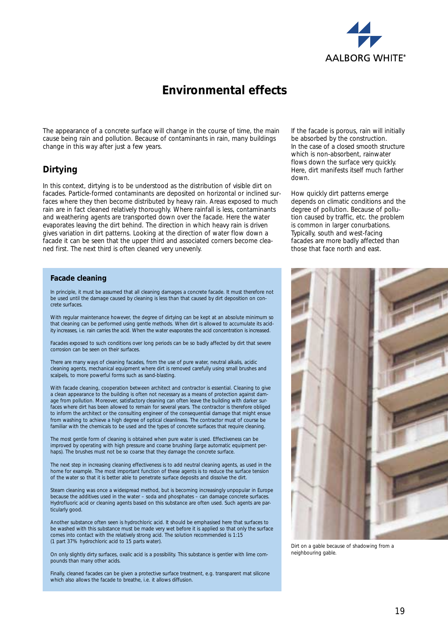

# **Environmental effects**

The appearance of a concrete surface will change in the course of time, the main cause being rain and pollution. Because of contaminants in rain, many buildings change in this way after just a few years.

### **Dirtying**

In this context, dirtying is to be understood as the distribution of visible dirt on facades. Particle-formed contaminants are deposited on horizontal or inclined surfaces where they then become distributed by heavy rain. Areas exposed to much rain are in fact cleaned relatively thoroughly. Where rainfall is less, contaminants and weathering agents are transported down over the facade. Here the water evaporates leaving the dirt behind. The direction in which heavy rain is driven gives variation in dirt patterns. Looking at the direction of water flow down a facade it can be seen that the upper third and associated corners become cleaned first. The next third is often cleaned very unevenly.

#### **Facade cleaning**

In principle, it must be assumed that all cleaning damages a concrete facade. It must therefore not be used until the damage caused by cleaning is less than that caused by dirt deposition on concrete surfaces.

With regular maintenance however, the degree of dirtying can be kept at an absolute minimum so that cleaning can be performed using gentle methods. When dirt is allowed to accumulate its acidity increases, i.e. rain carries the acid. When the water evaporates the acid concentration is increased.

Facades exposed to such conditions over long periods can be so badly affected by dirt that severe corrosion can be seen on their surfaces.

There are many ways of cleaning facades, from the use of pure water, neutral alkalis, acidic cleaning agents, mechanical equipment where dirt is removed carefully using small brushes and scalpels, to more powerful forms such as sand-blasting.

With facade cleaning, cooperation between architect and contractor is essential. Cleaning to give a clean appearance to the building is often not necessary as a means of protection against damage from pollution. Moreover, satisfactory cleaning can often leave the building with darker surfaces where dirt has been allowed to remain for several years. The contractor is therefore obliged to inform the architect or the consulting engineer of the consequential damage that might ensue from washing to achieve a high degree of optical cleanliness. The contractor must of course be familiar with the chemicals to be used and the types of concrete surfaces that require cleaning.

The most gentle form of cleaning is obtained when pure water is used. Effectiveness can be improved by operating with high pressure and coarse brushing (large automatic equipment perhaps). The brushes must not be so coarse that they damage the concrete surface

The next step in increasing cleaning effectiveness is to add neutral cleaning agents, as used in the home for example. The most important function of these agents is to reduce the surface tension of the water so that it is better able to penetrate surface deposits and dissolve the dirt.

Steam cleaning was once a widespread method, but is becoming increasingly unpopular in Europe because the additives used in the water – soda and phosphates – can damage concrete surfaces. Hydrofluoric acid or cleaning agents based on this substance are often used. Such agents are particularly good.

Another substance often seen is hydrochloric acid. It should be emphasised here that surfaces to be washed with this substance must be made very wet before it is applied so that only the surface comes into contact with the relatively strong acid. The solution recommended is 1:15 (1 part 37% hydrochloric acid to 15 parts water).

On only slightly dirty surfaces, oxalic acid is a possibility. This substance is gentler with lime compounds than many other acids.

Finally, cleaned facades can be given a protective surface treatment, e.g. transparent mat silicone which also allows the facade to breathe, i.e. it allows diffusion.

If the facade is porous, rain will initially be absorbed by the construction. In the case of a closed smooth structure which is non-absorbent, rainwater flows down the surface very quickly. Here, dirt manifests itself much farther down.

How quickly dirt patterns emerge depends on climatic conditions and the degree of pollution. Because of pollution caused by traffic, etc. the problem is common in larger conurbations. Typically, south and west-facing facades are more badly affected than those that face north and east.



*Dirt on a gable because of shadowing from a neighbouring gable.*